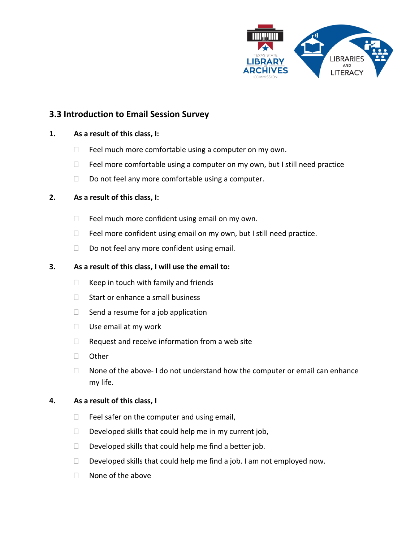

# **3.3 Introduction to Email Session Survey**

### **1. As a result of this class, I:**

- $\Box$  Feel much more comfortable using a computer on my own.
- $\Box$  Feel more comfortable using a computer on my own, but I still need practice
- $\Box$  Do not feel any more comfortable using a computer.

### **2. As a result of this class, I:**

- $\Box$  Feel much more confident using email on my own.
- $\Box$  Feel more confident using email on my own, but I still need practice.
- $\Box$  Do not feel any more confident using email.

### **3. As a result of this class, I will use the email to:**

- $\Box$  Keep in touch with family and friends
- □ Start or enhance a small business
- $\Box$  Send a resume for a job application
- $\Box$  Use email at my work
- $\Box$  Request and receive information from a web site
- □ Other
- $\Box$  None of the above- I do not understand how the computer or email can enhance my life.

#### **4. As a result of this class, I**

- $\Box$  Feel safer on the computer and using email,
- $\Box$  Developed skills that could help me in my current job,
- $\Box$  Developed skills that could help me find a better job.
- $\Box$  Developed skills that could help me find a job. I am not employed now.
- $\Box$  None of the above